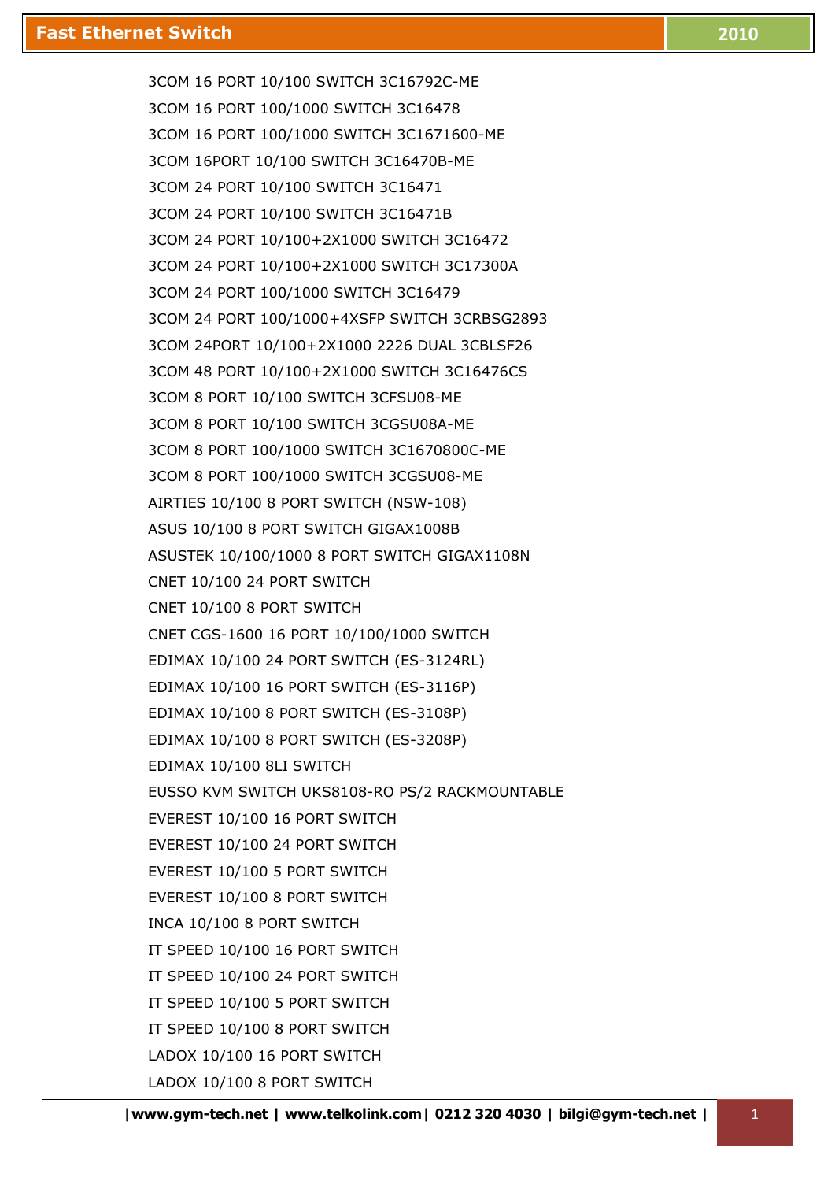3COM 16 PORT 10/100 SWITCH 3C16792C-ME 3COM 16 PORT 100/1000 SWITCH 3C16478 3COM 16 PORT 100/1000 SWITCH 3C1671600-ME 3COM 16PORT 10/100 SWITCH 3C16470B-ME 3COM 24 PORT 10/100 SWITCH 3C16471 3COM 24 PORT 10/100 SWITCH 3C16471B 3COM 24 PORT 10/100+2X1000 SWITCH 3C16472 3COM 24 PORT 10/100+2X1000 SWITCH 3C17300A 3COM 24 PORT 100/1000 SWITCH 3C16479 3COM 24 PORT 100/1000+4XSFP SWITCH 3CRBSG2893 3COM 24PORT 10/100+2X1000 2226 DUAL 3CBLSF26 3COM 48 PORT 10/100+2X1000 SWITCH 3C16476CS 3COM 8 PORT 10/100 SWITCH 3CFSU08-ME 3COM 8 PORT 10/100 SWITCH 3CGSU08A-ME 3COM 8 PORT 100/1000 SWITCH 3C1670800C-ME 3COM 8 PORT 100/1000 SWITCH 3CGSU08-ME AIRTIES 10/100 8 PORT SWITCH (NSW-108) ASUS 10/100 8 PORT SWITCH GIGAX1008B ASUSTEK 10/100/1000 8 PORT SWITCH GIGAX1108N CNET 10/100 24 PORT SWITCH CNET 10/100 8 PORT SWITCH CNET CGS-1600 16 PORT 10/100/1000 SWITCH EDIMAX 10/100 24 PORT SWITCH (ES-3124RL) EDIMAX 10/100 16 PORT SWITCH (ES-3116P) EDIMAX 10/100 8 PORT SWITCH (ES-3108P) EDIMAX 10/100 8 PORT SWITCH (ES-3208P) EDIMAX 10/100 8LI SWITCH EUSSO KVM SWITCH UKS8108-RO PS/2 RACKMOUNTABLE EVEREST 10/100 16 PORT SWITCH EVEREST 10/100 24 PORT SWITCH EVEREST 10/100 5 PORT SWITCH EVEREST 10/100 8 PORT SWITCH INCA 10/100 8 PORT SWITCH IT SPEED 10/100 16 PORT SWITCH IT SPEED 10/100 24 PORT SWITCH IT SPEED 10/100 5 PORT SWITCH IT SPEED 10/100 8 PORT SWITCH LADOX 10/100 16 PORT SWITCH LADOX 10/100 8 PORT SWITCH